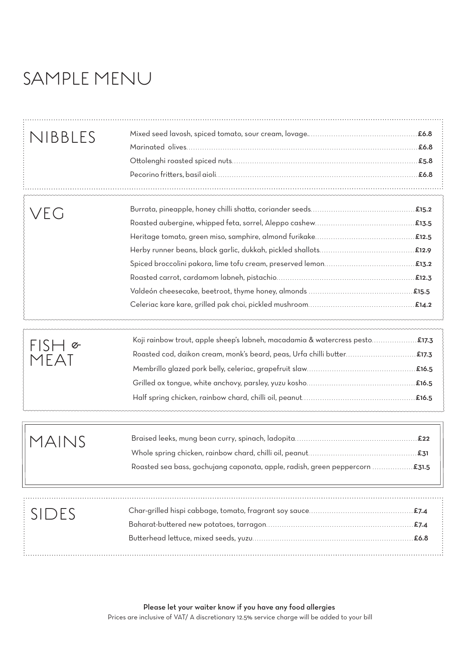# SAMPLE MENU

| NIBBLES         |                                                                               |  |
|-----------------|-------------------------------------------------------------------------------|--|
| veg             |                                                                               |  |
| $\sigma$<br>FAI | E17.3. Koji rainbow trout, apple sheep's labneh, macadamia & watercress pesto |  |
| MAINS           |                                                                               |  |
| SIDES           |                                                                               |  |